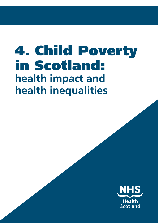# 4. Child Poverty in Scotland: **health impact and health inequalities**

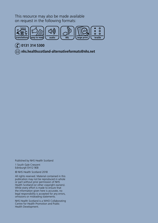This resource may also be made available on request in the following formats:



 **0131 314 5300** 

 **nhs.healthscotland-alternativeformats@nhs.net**

Published by NHS Health Scotland

1 South Gyle Crescent Edinburgh EH12 9EB

© NHS Health Scotland 2018

All rights reserved. Material contained in this publication may not be reproduced in whole or part without prior permission of NHS Health Scotland (or other copyright owners). While every effort is made to ensure that the information given here is accurate, no legal responsibility is accepted for any errors, omissions or misleading statements.

NHS Health Scotland is a WHO Collaborating Centre for Health Promotion and Public Health Development.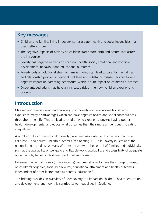#### **Key messages**

- Children and families living in poverty suffer greater health and social inequalities than their better-off peers.
- The negative impacts of poverty on children start before birth and accumulate across the life course.
- Poverty has negative impacts on children's health, social, emotional and cognitive development, behaviour and educational outcomes.
- Poverty puts an additional strain on families, which can lead to parental mental health and relationship problems, financial problems and substance misuse. This can have a negative impact on parenting behaviours, which in turn impact on children's outcomes.
- Disadvantaged adults may have an increased risk of their own children experiencing poverty.

# **Introduction**

Children and families living and growing up in poverty and low-income households experience many disadvantages which can have negative health and social consequences throughout their life. This can lead to children who experience poverty having poorer health, developmental and educational outcomes than their more affluent peers, creating inequalities.<sup>1</sup>

A number of key drivers of child poverty have been associated with adverse impacts on children's – and adults' – health outcomes (see briefing 3 – [Child Poverty in Scotland: the](http://www.healthscotland.scot/publications/child-poverty-the-national-and-local-drivers)  [national and local drivers](http://www.healthscotland.scot/publications/child-poverty-the-national-and-local-drivers)). Many of these are out with the control of families and individuals, such as the availability of well-paid and flexible work, availability and accessibility of adequate social security, benefits, childcare, food, fuel and housing.

However, the lack of money (or low income) has been shown to have the strongest impact on children's cognitive, social-behavioural, educational attainment and health outcomes, independent of other factors such as parents' education.<sup>2</sup>

This briefing provides an overview of how poverty can impact on children's health, education and development, and how this contributes to inequalities in Scotland.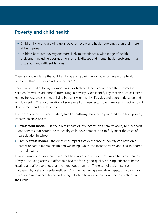### **Poverty and child health**

- Children living and growing up in poverty have worse health outcomes than their more affluent peers.
- Children born into poverty are more likely to experience a wide range of health problems – including poor nutrition, chronic disease and mental health problems – than those born into affluent families.

There is good evidence that children living and growing up in poverty have worse health outcomes than their more affluent peers.3,4,5,6

There are several pathways or mechanisms which can lead to poorer health outcomes in children (as well as adulthood) from living in poverty. Most identify key aspects such as limited money for resources, stress of living in poverty, unhealthy lifestyles and poorer education and employment.<sup>2,7</sup> The accumulation of some or all of these factors over time can impact on child development and health outcomes.

In a recent evidence review update, two key pathways have been proposed as to how poverty impacts on child health:<sup>2</sup>

- **Investment model** via the direct impact of low income on a family's ability to buy goods and services that contribute to healthy child development, and to fully meet the costs of participation in school.
- **Family stress model** the emotional impact that experience of poverty can have on a parent or carer's mental health and wellbeing, which can increase stress and lead to poorer mental health.

Families living on a low income may not have access to sufficient resources to lead a healthy lifestyle, including access to affordable healthy food, good-quality housing, adequate home heating and affordable social and cultural opportunities. These can directly impact on children's physical and mental wellbeing, $^8$  as well as having a negative impact on a parent or carer's own mental health and wellbeing, which in turn will impact on their interactions with their child $2$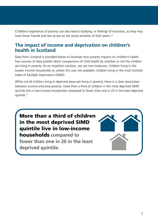Children's experience of poverty can also lead to bullying, or feelings of exclusion, as they may have fewer friends and less access to the social activities of their peers.<sup>10</sup>

#### **The impact of income and deprivation on children's health in Scotland**

Data from Scotland is provided below to illustrate how poverty impacts on children's health. Few sources of data publish direct comparisons of child health by whether or not the children are living in poverty. As an imperfect solution, we use two measures: children living in the lowest income households or, where this was not available, children living in the most [Scottish](https://www.gov.scot/Topics/Statistics/SIMD)  [Index of Multiple Deprivation](https://www.gov.scot/Topics/Statistics/SIMD) (SIMD).

While not all children living in deprived areas are living in poverty, there is a clear association between income and area poverty: more than a third of children in the most deprived SIMD quintile live in low-income households compared to fewer than one in 20 in the least deprived quintile.11



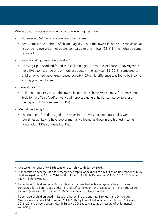Where Scottish data is available by income level, figures show:

- Children aged 2-15 who are overweight or obese\*
	- 32% (almost one in three) of children aged 2–15 in the lowest income households are at risk of being overweight or obese, compared to one in four (25%) in the highest income households.
- Unintentional injuries among children†
	- [Growing Up in Scotland](https://www.gov.scot/Resource/Doc/310430/0097968.pdf) found that children aged 5–6 with experience of poverty were more likely to have had one or more accidents in the last year (18–20%), compared to children who had never experienced poverty (12%). No difference was found by income among younger children.
- General health  $<sup>‡</sup>$ </sup>
	- Children under 16 years in the lowest income households were almost four times more likely to have 'fair', 'bad' or 'very bad' reported general health compared to those in the highest (11% compared to 3%).
- Mental wellbeing §
	- The number of children aged 4–14 years in the lowest income households were four times as likely to have poorer mental wellbeing as those in the highest income households (13% compared to 3%).

- \* Overweight or obese (>= 85th centile), Scottish Health Survey 2016.
- † Standardised discharge ratio for emergency hospital admissions as a result of an unintentional injury, children aged under 15: by 2016 Scottish Index of Multiple Deprivation (SIMD), 2016/17. Source: ISD Scotland (SMR01).
- ‡ Percentage of children under 16 with fair, bad or very bad self-rated general health: parent completed for children aged under 13, and self-completion for those aged 13–15: by Equivalised Income Quintiles – OECD score, 2016. Source: Scottish Health Survey.
- § Percentage of children aged 4–12 with a borderline or abnormal Strengths and Difficulties Questionnaire score of 14 or more, 2013–2016: by Equivalised Income Quintiles – OECD score, 2016, 2016. Source: Scottish Health Survey. SDQ is recognised as a measure of child mental wellbeing.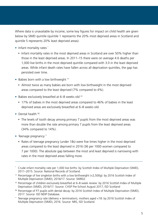Where data is unavailable by income, some key figures for impact on child health are given below by SIMD quintile (quintile 1 represents the 20% most deprived areas in Scotland and quintile 5 represents 20% least deprived areas).

- Infant mortality rates "
	- Infant mortality rates in the most deprived areas in Scotland are over 50% higher than those in the least deprived areas. In 2011–15 there were on average 4.6 deaths per 1,000 live births in the most deprived quintile compared with 3.0 in the least deprived areas. While infant death rates have fallen across all deprivation quintiles, the gap has persisted over time.
- Babies born with a low birthweight <sup>++</sup>
	- Almost twice as many babies are born with low birthweight in the most deprived areas compared to the least deprived (7% compared to 4%).
- Babies exclusively breastfed at 6–8 weeks old <sup>##</sup>
	- 17% of babies in the most deprived areas compared to 46% of babies in the least deprived areas are exclusively breastfed at 6–8 weeks old.
- Dental health §§
	- The levels of tooth decay among primary 7 pupils from the most deprived areas was more than double the rate among primary 7 pupils from the least deprived areas (34% compared to 14%).
- Teenage pregnancy …
	- Rates of teenage pregnancy (under 18s) were five times higher in the most deprived areas compared to the least deprived in 2016 (36 per 1000 women compared to 7 per 1000). The absolute gap between the most and least deprived is narrowing with rates in the most deprived areas falling more.

<sup>¨</sup> Crude infant mortality rate per 1,000 live births: by Scottish Index of Multiple Deprivation (SIMD), 2011–2015. Source: National Records of Scotland.

<sup>††</sup> Percentage of live singleton births with a low birthweight (<2,500g): by 2016 Scottish Index of Multiple Deprivation (SIMD), 2016/17. Source: SMR02.

<sup>&</sup>lt;sup>##</sup> Percentage of children exclusively breastfed at 6–8 week review: by 2016 Scottish Index of Multiple Deprivation (SIMD), 2016/17. Source: CHSP Pre-School August 2017, ISD Scotland

<sup>&</sup>lt;sup>§§</sup> Percentage of P7 pupils with dental decay: by 2016 Scottish Index of Multiple Deprivation (SIMD), 2017. Source: ISD NDIP Database.

<sup>¨¨</sup> Teenage pregnancy rate (delivery + termination), mothers aged <18: by 2016 Scottish Index of Multiple Deprivation (SIMD), 2016. Source: NRS, ISD Scotland.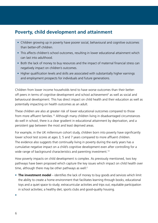### **Poverty, child development and attainment**

- Children growing up in poverty have poorer social, behavioural and cognitive outcomes than better-off children.
- This affects children's school outcomes, resulting in lower educational attainment which can last into adulthood.
- Both the lack of money to buy resources and the impact of maternal financial stress can negatively impact on children's outcomes.
- Higher qualification levels and skills are associated with substantially higher earnings and employment prospects for individuals and future generations.

Children from lower income households tend to have worse outcomes than their betteroff peers in terms of cognitive development and school achievement<sup>2</sup> as well as social and behavioural development. This has direct impact on child health and their education as well as potentially impacting on health outcomes as an adult.

These children are also at greater risk of lower educational outcomes compared to those from more affluent families.12 Although many children living in disadvantaged circumstances do well in school, there is a clear gradient in educational attainment by deprivation, and a persistent gap between the most and least deprived areas.

For example, in the UK millennium cohort study, children born into poverty have significantly lower school test scores at ages 3, 5 and 7 years compared to more affluent children. The evidence also suggests that continually living in poverty during the early years has a cumulative negative impact on a child's cognitive development even after controlling for a wide range of background characteristics and parenting investment.<sup>13</sup>

How poverty impacts on child development is complex. As previously mentioned, two key pathways have been proposed which capture the key issues which impact on child health over time, although there may be other pathways as well: $2$ 

• **The investment model** – identifies the lack of money to buy goods and services which limit the ability to create a home environment that facilitates learning through books, educational toys and a quiet space to study; extracurricular activities and trips out; equitable participation in school activities; a healthy diet, sports clubs and good-quality housing.

•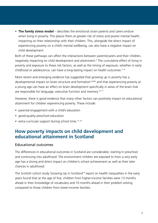• **The family stress model** – describes the emotional strain parents and carers endure when living in poverty. This places them at greater risk of stress and poorer mental health, impacting on their relationship with their children. This, alongside the direct impact of experiencing poverty on a child's mental wellbeing, can also have a negative impact on child development.

Both of these pathways can affect the interactions between parents/carers and their children, negatively impacting on child development and attainment.2 The cumulative effect of living in poverty and exposure to these risk factors, as well as the timing of exposure, whether in early childhood or adolescence, can have a long-lasting impact on health outcomes.<sup>414</sup>

More recent and emerging evidence has suggested that growing up in poverty has a developmental impact on brain structure and formation<sup>15a&b</sup> and that experiencing poverty at a young age can have an effect on brain development specifically in areas of the brain that are responsible for language, executive function and memory.<sup>16 17</sup>

However, there is good evidence that many other factors can positively impact on educational attainment for children experiencing poverty. These include:

- parental engagement with a child's education
- good-quality preschool education
- extra-curricular support during school time.<sup>12 18</sup>

#### **How poverty impacts on child development and educational attainment in Scotland**

#### Educational outcomes

The differences in educational outcomes in Scotland are considerable, starting in preschool and continuing into adulthood. The environment children are exposed to from a very early age has a strong and direct impact on children's school achievement as well as their later chances in adulthood.

The Scottish cohort study Growing Up in Scotland<sup>19</sup> report on health inequalities in the early years found that at the age of five, children from higher-income families were 13 months ahead in their knowledge of vocabulary and 10 months ahead in their problem solving compared to those children from lower-income families.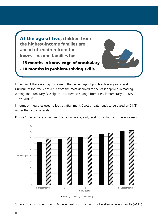At the age of five, **children from the highest-income families are ahead of children from the lowest-income families by:**

- 13 months in knowledge of vocabulary
- 

- 10 months in problem-solving skills.

In primary 1 there is a step increase in the percentage of pupils achieving early level Curriculum for Excellence (CfE) from the most deprived to the least deprived in reading, writing and numeracy (see Figure 1). Differences range from 14% in numeracy to 18% in writing. 20

In terms of measures used to look at attainment, Scottish data tends to be based on SIMD rather than income levels.



Figure 1. Percentage of Primary 1 pupils achieving early level Curriculum for Excellence results.

Source: Scottish Government, Achievement of Curriculum for Excellence Levels Results (ACEL).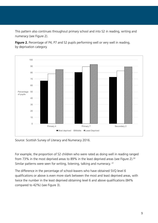This pattern also continues throughout primary school and into S2 in reading, writing and numeracy (see Figure 2).

**Figure 2.** Percentage of P4, P7 and S2 pupils performing well or very well in reading, by deprivation category.



Source: Scottish Survey of Literacy and Numeracy 2016.

For example, the proportion of S2 children who were rated as doing well in reading ranged from 73% in the most deprived areas to 89% in the least deprived areas (see Figure 2).<sup>20</sup> Similar patterns were seen for writing, listening, talking and numeracy. <sup>21</sup>

The difference in the percentage of school-leavers who have obtained SVQ level 6 qualifications or above is even more stark between the most and least deprived areas, with twice the number in the least deprived obtaining level 6 and above qualifications (84% compared to 42%) (see Figure 3).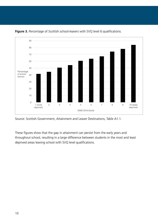

**Figure 3.** Percentage of Scottish school-leavers with SVQ level 6 qualifications.

These figures show that the gap in attainment can persist from the early years and throughout school, resulting in a large difference between students in the most and least deprived areas leaving school with SVQ level qualifications.

Source: Scottish Government, Attainment and Leaver Destinations, Table A1.1.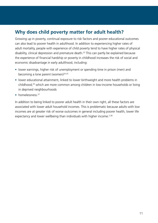# **Why does child poverty matter for adult health?**

Growing up in poverty, continual exposure to risk factors and poorer educational outcomes can also lead to poorer health in adulthood. In addition to experiencing higher rates of adult mortality, people with experience of child poverty tend to have higher rates of physical disability, clinical depression and premature death.<sup>23</sup> This can partly be explained because the experience of financial hardship or poverty in childhood increases the risk of social and economic disadvantage in early adulthood, including:

- lower earnings, higher risk of unemployment or spending time in prison (men) and becoming a lone parent (women) $2425$
- lower educational attainment, linked to lower birthweight and more health problems in childhood,26 which are more common among children in low-income households or living in deprived neighbourhoods
- homelessness<sup>27</sup>

In addition to being linked to poorer adult health in their own right, all these factors are associated with lower adult household incomes. This is problematic because adults with low incomes are at greater risk of worse outcomes in general including poorer health, lower life expectancy and lower wellbeing than individuals with higher income.<sup>228</sup>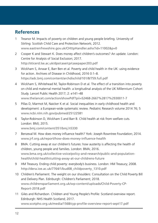# **References**

- 1 Treanor M. Impacts of poverty on children and young people briefing. University of Stirling: Scottish Child Care and Protection Network; 2012. www.eastrenfrewshire.gov.uk/CHttpHandler.ashx?id=11002&p=0
- 2 Cooper K and Stewart K. Does money affect children's outcomes? An update. London: Centre for Analysis of Social Exclusion; 2017. http://sticerd.lse.ac.uk/dps/case/cp/casepaper203.pdf
- 3 Wickham S, Anwar E, Barr Ben et al. Poverty and child health in the UK: using evidence for action. Archives of Disease in Childhood, 2016 0:1–8. https://adc.bmj.com/content/archdischild/101/8/759.full.pdf
- 4 Wickham S, Whitehead M, Taylor-Robinson D et al. The effect of a transition into poverty on child and maternal mental health: a longitudinal analysis of the UK Millennium Cohort Study. Lancet Public Health 2017; 2: e141–48 www.thelancet.com/action/showPdf?pii=S2468-2667%2817%2930011-7
- 5 Pillas D, Marmot M, Naicker K et al. Social inequalities in early childhood health and development: a European-wide systematic review. Pediatric Research volume 2014 76; 5 www.ncbi.nlm.nih.gov/pubmed/25122581
- 6 Taylor-Robinson D, Wickham S and Barr B. Child health at risk from welfare cuts. London: BMJ; 2015.

www.bmj.com/content/351/bmj.h5330

- 7 Benzeval M. How does money influence health? York: Joseph Rowntree Foundation; 2014. www.jrf.org.uk/report/how-does-money-influence-health
- 8 BMA. Cutting away at our children's futures: how austerity is affecting the health of children, young people and families. London: BMA; 2016. www.bma.org.uk/collective-voice/policy-and-research/public-and-populationhealth/child-health/cutting-away-at-our-childrens-future
- 9 HM Treasury. Ending child poverty: everybody's business. London: HM Treasury; 2008. http://dera.ioe.ac.uk/7764/1/bud08\_childpoverty\_1310.pdf
- 10 Children's Parliament. The weight on our shoulders: Consultation on the Child Poverty Bill and Delivery Plan. Edinburgh: Children's Parliament; 2018. www.childrensparliament.org.uk/wp-content/uploads/Child-Poverty-CP-Report-2018.pdf
- 11 Giles and Richardson. Children and Young People's Profile: Scotland overview report. Edinburgh: NHS Health Scotland; 2017. www.scotpho.org.uk/media/1568/cyp-profile-overview-report-sept17.pdf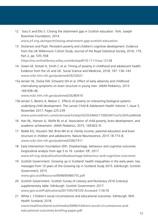12 Sosu E and Ellis S. Closing the attainment gap in Scottish education. York: Joseph Rowntree Foundation; 2014.

www.jrf.org.uk/report/closing-attainment-gap-scottish-education

- 13 Dickerson and Popli. Persistent poverty and children's cognitive development. Evidence from the UK Millennium Cohort Study. Journal of the Royal Statistical Society, 2016; 179, Part 2, pp. 535–558 https://rss.onlinelibrary.wiley.com/doi/epdf/10.1111/rssa.12128
- 14 Green M, Stritzel H, Smith C et al. Timing of poverty in childhood and adolescent health: Evidence from the US and UK. Social Science and Medicine, 2018; 197: 136–143. www.ncbi.nlm.nih.gov/pubmed/29232621
- 15a Jensen SK, Dickie EW, Schwartz DH et al. Effect of early adversity and childhood internalizing symptoms on brain structure in young men. JAMA Pediatrics, 2015 169:938–46.

www.ncbi.nlm.nih.gov/pubmed/26280410

- 15b Jensen S, Berens A, Nelson C. Effects of poverty on interacting biological systems underlying child development. The Lancet Child & Adolescent Health Volume 1, Issue 3, November 2017, Pages 225-239 www.sciencedirect.com/science/article/pii/S235246421730024X?via%3Dihub#bib6
- 16 Hair NL, Hanson JL, Wolfe BL et al. Association of child poverty, brain development, and academic achievement. JAMA Pediatrics, 2015; 169:822–9.
- 17 Noble KG, Houston SM, Brito NH et al. Family income, parental education and brain structure in children and adolescents. Nature Neuroscience, 2015 18:773–8. www.ncbi.nlm.nih.gov/pubmed/25821911
- 18 Early Intervention Foundation (EIF). Disadvantage, behaviour and cognitive outcomes longitudinal analysis from age 5 to 16. London: EIF; 2017. www.eif.org.uk/publication/disadvantage-behaviour-and-cognitive-outcomes
- 19 Scottish Government. Growing up in Scotland: health inequalities in the early years: key messages from 10 years of the Growing Up in Scotland Study 2015. Edinburgh: Scottish Government; 2015.

www.gov.scot/Resource/0048/00486755.pdf

- 20 Scottish Government. Scottish Survey of Literacy and Numeracy 2016 (Literacy) supplementary table. Edinburgh: Scottish Government; 2017. www.gov.scot/Publications/2017/05/7872/0 Accessed 11/6/18
- 21 White J. Children's social circumstances and educational outcomes. Edinburgh: NHS Health Scotland; 2018. www.healthscotland.scot/media/2049/childrens-social-circumstances-and-

educational-outcomes-briefing-paper.pdf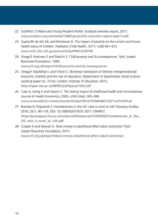- 22 ScotPHO: Children and Young People's Profile: Scotland overview report, 2017. www.scotpho.org.uk/media/1568/cyp-profile-overview-report-sept17.pdf
- 23 Gupta RP, de Wit ML and McKeown D. The impact of poverty on the current and future health status of children. Paediatric Child Health, 2017; 12(8) 667–672. www.ncbi.nlm.nih.gov/pmc/articles/PMC2528796
- 24 Gregg P, Harkness S and Machin S. Child poverty and its consequences. York: Joseph Rowntree Foundation; 1999. www.jrf.org.uk/report/child-poverty-and-its-consequences
- 25 Gregg P, MacMillan L and Vittori C. Nonlinear estimation of lifetime intergenerational economic mobility and the role of education. Department of Quantitative Social Science working paper no. 15-03. London: Institute of Education; 2015. http://repec.ioe.ac.uk/REPEc/pdf/qsswp1503.pdf
- 26 Case A, Fertig A and Paxson C. The lasting impact of childhood health and circumstances. Journal of Health Economics, 2005, v24(2,Mar), 365–389. www.sciencedirect.com/science/article/pii/S0167629604001262?via%3Dihub
- 27 Bramley B, Fitzpatrick S. Homelessness in the UK: who is most at risk? Housing Studies, 2018, 33:1, 96–116, DOI: 10.1080/02673037.2017.1344957. https://pureapps2.hw.ac.uk/ws/portalfiles/portal/15634542/Homelessness\_in\_the UK who is most at risk.pdf
- 28 Cooper K and Stewart K. Does money in adulthood affect adult outcomes? York: Joseph Rowntree Foundation; 2015. www.jrf.org.uk/report/does-money-adulthood-affect-adult-outcomes